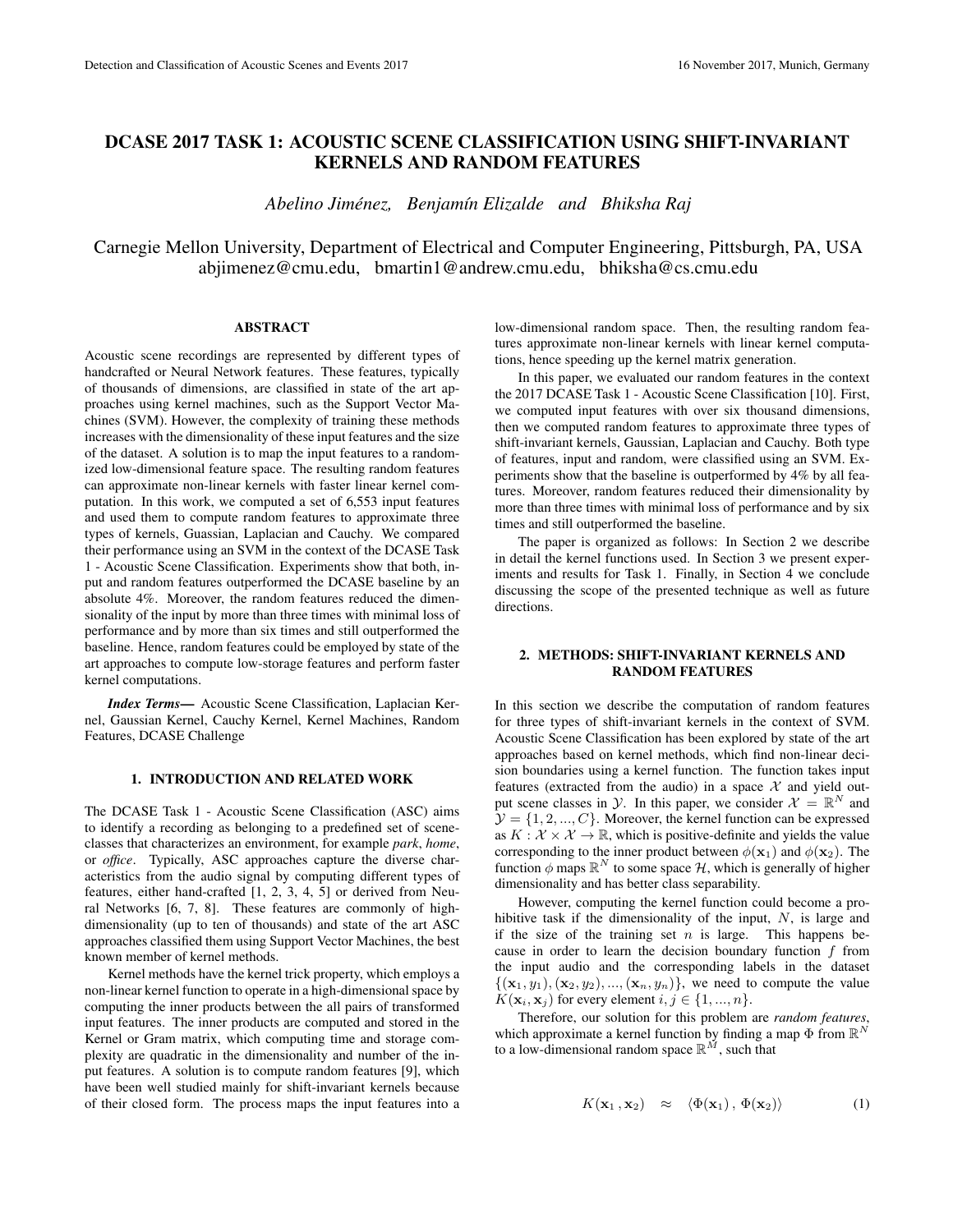# DCASE 2017 TASK 1: ACOUSTIC SCENE CLASSIFICATION USING SHIFT-INVARIANT KERNELS AND RANDOM FEATURES

*Abelino Jimenez, Benjam ´ ´ın Elizalde and Bhiksha Raj*

Carnegie Mellon University, Department of Electrical and Computer Engineering, Pittsburgh, PA, USA abjimenez@cmu.edu, bmartin1@andrew.cmu.edu, bhiksha@cs.cmu.edu

### ABSTRACT

Acoustic scene recordings are represented by different types of handcrafted or Neural Network features. These features, typically of thousands of dimensions, are classified in state of the art approaches using kernel machines, such as the Support Vector Machines (SVM). However, the complexity of training these methods increases with the dimensionality of these input features and the size of the dataset. A solution is to map the input features to a randomized low-dimensional feature space. The resulting random features can approximate non-linear kernels with faster linear kernel computation. In this work, we computed a set of 6,553 input features and used them to compute random features to approximate three types of kernels, Guassian, Laplacian and Cauchy. We compared their performance using an SVM in the context of the DCASE Task 1 - Acoustic Scene Classification. Experiments show that both, input and random features outperformed the DCASE baseline by an absolute 4%. Moreover, the random features reduced the dimensionality of the input by more than three times with minimal loss of performance and by more than six times and still outperformed the baseline. Hence, random features could be employed by state of the art approaches to compute low-storage features and perform faster kernel computations.

*Index Terms*— Acoustic Scene Classification, Laplacian Kernel, Gaussian Kernel, Cauchy Kernel, Kernel Machines, Random Features, DCASE Challenge

# 1. INTRODUCTION AND RELATED WORK

The DCASE Task 1 - Acoustic Scene Classification (ASC) aims to identify a recording as belonging to a predefined set of sceneclasses that characterizes an environment, for example *park*, *home*, or *office*. Typically, ASC approaches capture the diverse characteristics from the audio signal by computing different types of features, either hand-crafted [1, 2, 3, 4, 5] or derived from Neural Networks [6, 7, 8]. These features are commonly of highdimensionality (up to ten of thousands) and state of the art ASC approaches classified them using Support Vector Machines, the best known member of kernel methods.

Kernel methods have the kernel trick property, which employs a non-linear kernel function to operate in a high-dimensional space by computing the inner products between the all pairs of transformed input features. The inner products are computed and stored in the Kernel or Gram matrix, which computing time and storage complexity are quadratic in the dimensionality and number of the input features. A solution is to compute random features [9], which have been well studied mainly for shift-invariant kernels because of their closed form. The process maps the input features into a

low-dimensional random space. Then, the resulting random features approximate non-linear kernels with linear kernel computations, hence speeding up the kernel matrix generation.

In this paper, we evaluated our random features in the context the 2017 DCASE Task 1 - Acoustic Scene Classification [10]. First, we computed input features with over six thousand dimensions, then we computed random features to approximate three types of shift-invariant kernels, Gaussian, Laplacian and Cauchy. Both type of features, input and random, were classified using an SVM. Experiments show that the baseline is outperformed by 4% by all features. Moreover, random features reduced their dimensionality by more than three times with minimal loss of performance and by six times and still outperformed the baseline.

The paper is organized as follows: In Section 2 we describe in detail the kernel functions used. In Section 3 we present experiments and results for Task 1. Finally, in Section 4 we conclude discussing the scope of the presented technique as well as future directions.

### 2. METHODS: SHIFT-INVARIANT KERNELS AND RANDOM FEATURES

In this section we describe the computation of random features for three types of shift-invariant kernels in the context of SVM. Acoustic Scene Classification has been explored by state of the art approaches based on kernel methods, which find non-linear decision boundaries using a kernel function. The function takes input features (extracted from the audio) in a space  $\mathcal X$  and yield output scene classes in  $\mathcal{Y}$ . In this paper, we consider  $\mathcal{X} = \mathbb{R}^N$  and  $\mathcal{Y} = \{1, 2, ..., C\}$ . Moreover, the kernel function can be expressed as  $K : \mathcal{X} \times \mathcal{X} \to \mathbb{R}$ , which is positive-definite and yields the value corresponding to the inner product between  $\phi(\mathbf{x}_1)$  and  $\phi(\mathbf{x}_2)$ . The function  $\phi$  maps  $\mathbb{R}^N$  to some space H, which is generally of higher dimensionality and has better class separability.

However, computing the kernel function could become a prohibitive task if the dimensionality of the input,  $N$ , is large and if the size of the training set  $n$  is large. This happens because in order to learn the decision boundary function  $f$  from the input audio and the corresponding labels in the dataset  $\{({\bf x}_1, y_1), ({\bf x}_2, y_2), ..., ({\bf x}_n, y_n)\}\,$  we need to compute the value  $K(\mathbf{x}_i, \mathbf{x}_j)$  for every element  $i, j \in \{1, ..., n\}.$ 

Therefore, our solution for this problem are *random features*, which approximate a kernel function by finding a map  $\Phi$  from  $\mathbb{R}^N$ to a low-dimensional random space  $\mathbb{R}^{\tilde{M}}$ , such that

$$
K(\mathbf{x}_1, \mathbf{x}_2) \approx \langle \Phi(\mathbf{x}_1), \Phi(\mathbf{x}_2) \rangle \tag{1}
$$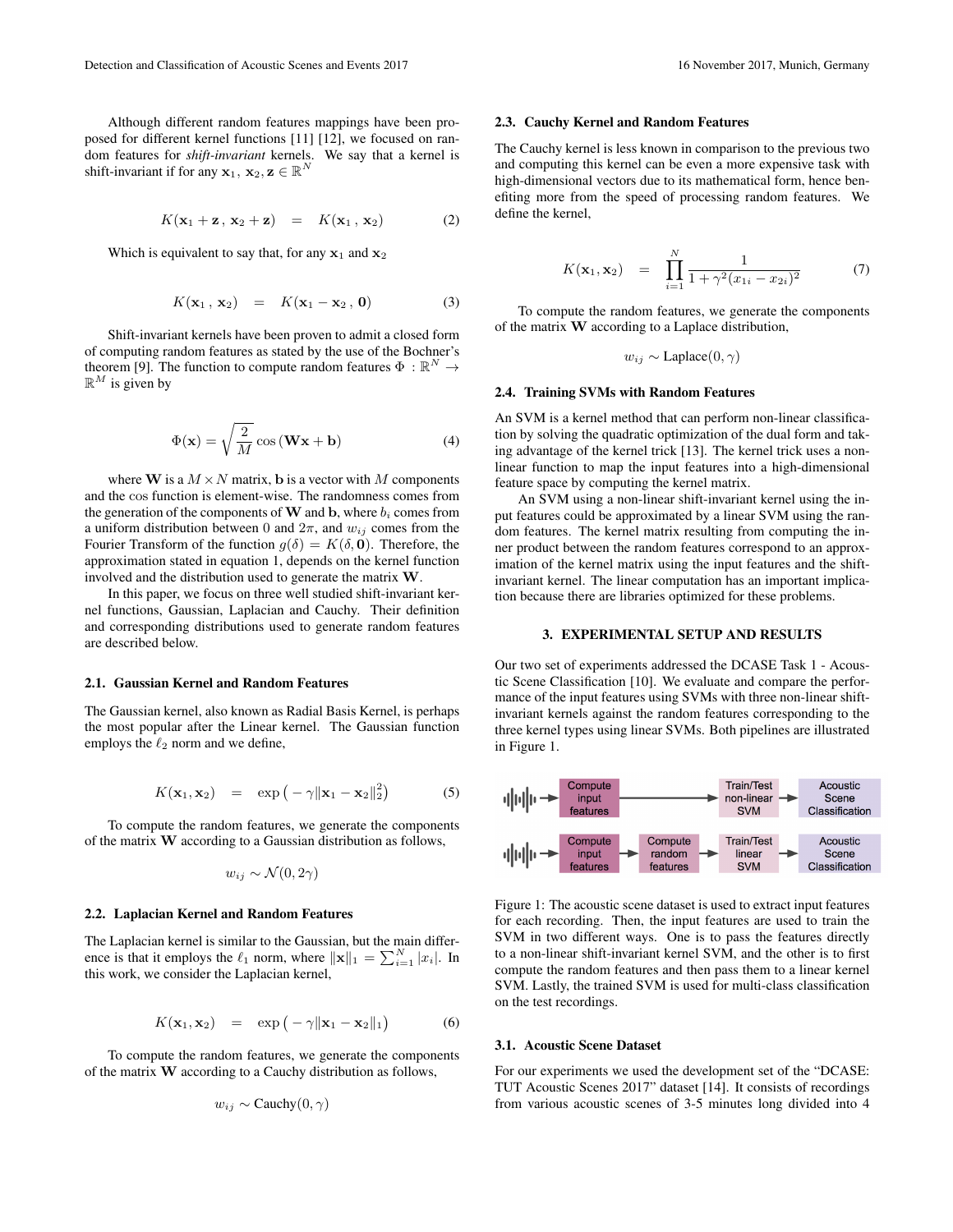Although different random features mappings have been proposed for different kernel functions [11] [12], we focused on random features for *shift-invariant* kernels. We say that a kernel is shift-invariant if for any  $\mathbf{x}_1, \mathbf{x}_2, \mathbf{z} \in \mathbb{R}^N$ 

$$
K(\mathbf{x}_1 + \mathbf{z}, \mathbf{x}_2 + \mathbf{z}) = K(\mathbf{x}_1, \mathbf{x}_2)
$$
 (2)

Which is equivalent to say that, for any  $x_1$  and  $x_2$ 

$$
K(\mathbf{x}_1, \mathbf{x}_2) = K(\mathbf{x}_1 - \mathbf{x}_2, \mathbf{0}) \tag{3}
$$

Shift-invariant kernels have been proven to admit a closed form of computing random features as stated by the use of the Bochner's theorem [9]. The function to compute random features  $\Phi : \mathbb{R}^N \to$  $\mathbb{R}^M$  is given by

$$
\Phi(\mathbf{x}) = \sqrt{\frac{2}{M}} \cos{(\mathbf{W}\mathbf{x} + \mathbf{b})}
$$
(4)

where **W** is a  $M \times N$  matrix, **b** is a vector with M components and the cos function is element-wise. The randomness comes from the generation of the components of  $W$  and  $b$ , where  $b_i$  comes from a uniform distribution between 0 and  $2\pi$ , and  $w_{ij}$  comes from the Fourier Transform of the function  $g(\delta) = K(\delta, 0)$ . Therefore, the approximation stated in equation 1, depends on the kernel function involved and the distribution used to generate the matrix  $W$ .

In this paper, we focus on three well studied shift-invariant kernel functions, Gaussian, Laplacian and Cauchy. Their definition and corresponding distributions used to generate random features are described below.

#### 2.1. Gaussian Kernel and Random Features

The Gaussian kernel, also known as Radial Basis Kernel, is perhaps the most popular after the Linear kernel. The Gaussian function employs the  $\ell_2$  norm and we define,

$$
K(\mathbf{x}_1, \mathbf{x}_2) = \exp\left(-\gamma \|\mathbf{x}_1 - \mathbf{x}_2\|_2^2\right) \tag{5}
$$

To compute the random features, we generate the components of the matrix W according to a Gaussian distribution as follows,

$$
w_{ij} \sim \mathcal{N}(0, 2\gamma)
$$

#### 2.2. Laplacian Kernel and Random Features

The Laplacian kernel is similar to the Gaussian, but the main difference is that it employs the  $\ell_1$  norm, where  $\|\mathbf{x}\|_1 = \sum_{i=1}^N |x_i|$ . In this work, we consider the Laplacian kernel,

$$
K(\mathbf{x}_1, \mathbf{x}_2) = \exp(-\gamma \|\mathbf{x}_1 - \mathbf{x}_2\|_1) \tag{6}
$$

To compute the random features, we generate the components of the matrix W according to a Cauchy distribution as follows,

$$
w_{ij} \sim \text{Cauchy}(0, \gamma)
$$

#### 2.3. Cauchy Kernel and Random Features

The Cauchy kernel is less known in comparison to the previous two and computing this kernel can be even a more expensive task with high-dimensional vectors due to its mathematical form, hence benefiting more from the speed of processing random features. We define the kernel,

$$
K(\mathbf{x}_1, \mathbf{x}_2) = \prod_{i=1}^N \frac{1}{1 + \gamma^2 (x_{1i} - x_{2i})^2}
$$
(7)

To compute the random features, we generate the components of the matrix  $\bf{W}$  according to a Laplace distribution,

 $w_{ij} \sim \text{Laplace}(0, \gamma)$ 

#### 2.4. Training SVMs with Random Features

An SVM is a kernel method that can perform non-linear classification by solving the quadratic optimization of the dual form and taking advantage of the kernel trick [13]. The kernel trick uses a nonlinear function to map the input features into a high-dimensional feature space by computing the kernel matrix.

An SVM using a non-linear shift-invariant kernel using the input features could be approximated by a linear SVM using the random features. The kernel matrix resulting from computing the inner product between the random features correspond to an approximation of the kernel matrix using the input features and the shiftinvariant kernel. The linear computation has an important implication because there are libraries optimized for these problems.

#### 3. EXPERIMENTAL SETUP AND RESULTS

Our two set of experiments addressed the DCASE Task 1 - Acoustic Scene Classification [10]. We evaluate and compare the performance of the input features using SVMs with three non-linear shiftinvariant kernels against the random features corresponding to the three kernel types using linear SVMs. Both pipelines are illustrated in Figure 1.



Figure 1: The acoustic scene dataset is used to extract input features for each recording. Then, the input features are used to train the SVM in two different ways. One is to pass the features directly to a non-linear shift-invariant kernel SVM, and the other is to first compute the random features and then pass them to a linear kernel SVM. Lastly, the trained SVM is used for multi-class classification on the test recordings.

#### 3.1. Acoustic Scene Dataset

For our experiments we used the development set of the "DCASE: TUT Acoustic Scenes 2017" dataset [14]. It consists of recordings from various acoustic scenes of 3-5 minutes long divided into 4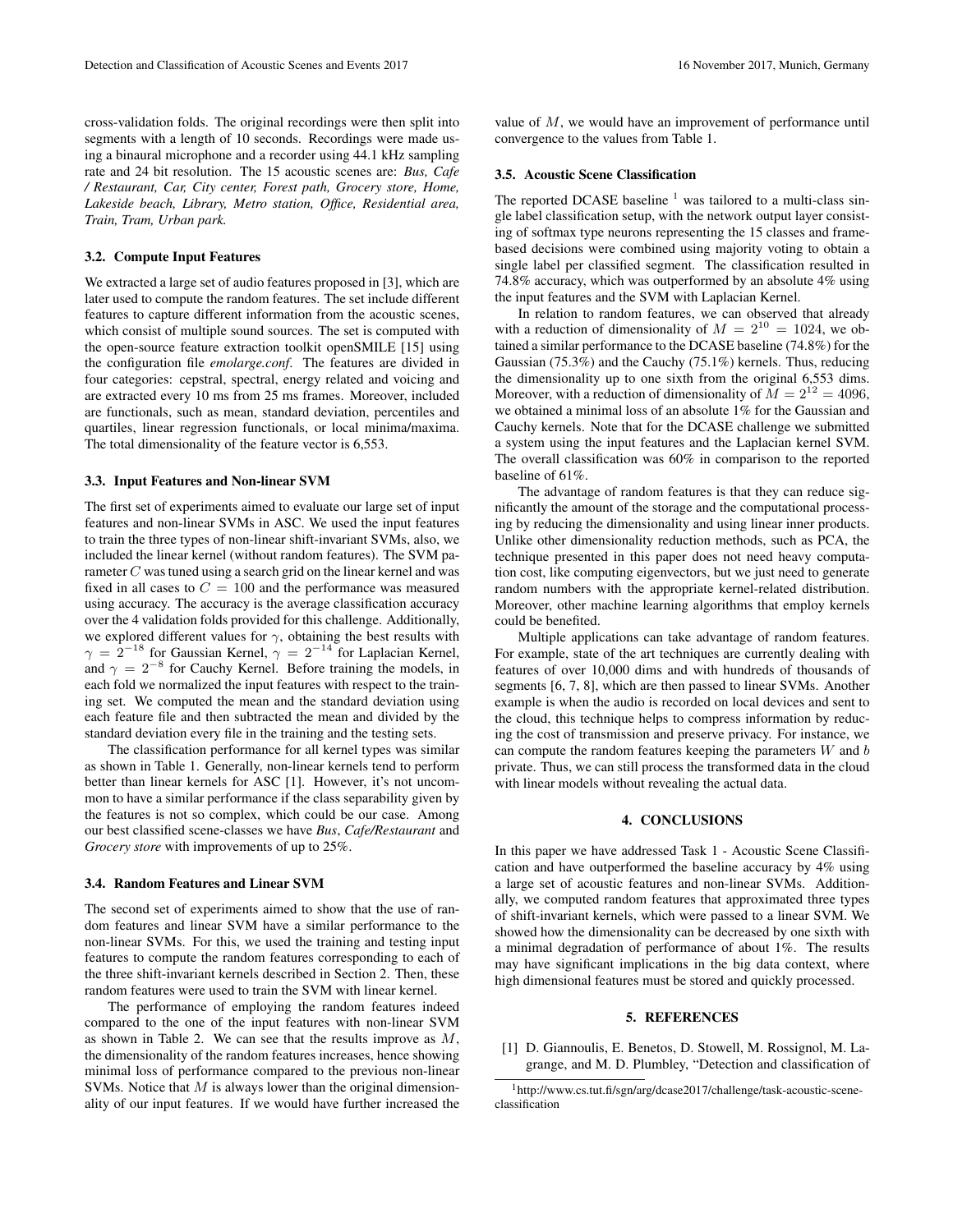cross-validation folds. The original recordings were then split into segments with a length of 10 seconds. Recordings were made using a binaural microphone and a recorder using 44.1 kHz sampling rate and 24 bit resolution. The 15 acoustic scenes are: *Bus, Cafe / Restaurant, Car, City center, Forest path, Grocery store, Home, Lakeside beach, Library, Metro station, Office, Residential area, Train, Tram, Urban park.*

# 3.2. Compute Input Features

We extracted a large set of audio features proposed in [3], which are later used to compute the random features. The set include different features to capture different information from the acoustic scenes, which consist of multiple sound sources. The set is computed with the open-source feature extraction toolkit openSMILE [15] using the configuration file *emolarge.conf*. The features are divided in four categories: cepstral, spectral, energy related and voicing and are extracted every 10 ms from 25 ms frames. Moreover, included are functionals, such as mean, standard deviation, percentiles and quartiles, linear regression functionals, or local minima/maxima. The total dimensionality of the feature vector is 6,553.

# 3.3. Input Features and Non-linear SVM

The first set of experiments aimed to evaluate our large set of input features and non-linear SVMs in ASC. We used the input features to train the three types of non-linear shift-invariant SVMs, also, we included the linear kernel (without random features). The SVM parameter C was tuned using a search grid on the linear kernel and was fixed in all cases to  $C = 100$  and the performance was measured using accuracy. The accuracy is the average classification accuracy over the 4 validation folds provided for this challenge. Additionally, we explored different values for  $\gamma$ , obtaining the best results with  $\gamma = 2^{-18}$  for Gaussian Kernel,  $\gamma = 2^{-14}$  for Laplacian Kernel, and  $\gamma = 2^{-8}$  for Cauchy Kernel. Before training the models, in each fold we normalized the input features with respect to the training set. We computed the mean and the standard deviation using each feature file and then subtracted the mean and divided by the standard deviation every file in the training and the testing sets.

The classification performance for all kernel types was similar as shown in Table 1. Generally, non-linear kernels tend to perform better than linear kernels for ASC [1]. However, it's not uncommon to have a similar performance if the class separability given by the features is not so complex, which could be our case. Among our best classified scene-classes we have *Bus*, *Cafe/Restaurant* and *Grocery store* with improvements of up to 25%.

### 3.4. Random Features and Linear SVM

The second set of experiments aimed to show that the use of random features and linear SVM have a similar performance to the non-linear SVMs. For this, we used the training and testing input features to compute the random features corresponding to each of the three shift-invariant kernels described in Section 2. Then, these random features were used to train the SVM with linear kernel.

The performance of employing the random features indeed compared to the one of the input features with non-linear SVM as shown in Table 2. We can see that the results improve as M, the dimensionality of the random features increases, hence showing minimal loss of performance compared to the previous non-linear SVMs. Notice that  $M$  is always lower than the original dimensionality of our input features. If we would have further increased the

value of  $M$ , we would have an improvement of performance until convergence to the values from Table 1.

#### 3.5. Acoustic Scene Classification

The reported DCASE baseline  $<sup>1</sup>$  was tailored to a multi-class sin-</sup> gle label classification setup, with the network output layer consisting of softmax type neurons representing the 15 classes and framebased decisions were combined using majority voting to obtain a single label per classified segment. The classification resulted in 74.8% accuracy, which was outperformed by an absolute 4% using the input features and the SVM with Laplacian Kernel.

In relation to random features, we can observed that already with a reduction of dimensionality of  $M = 2^{10} = 1024$ , we obtained a similar performance to the DCASE baseline (74.8%) for the Gaussian (75.3%) and the Cauchy (75.1%) kernels. Thus, reducing the dimensionality up to one sixth from the original 6,553 dims. Moreover, with a reduction of dimensionality of  $M = 2^{12} = 4096$ , we obtained a minimal loss of an absolute 1% for the Gaussian and Cauchy kernels. Note that for the DCASE challenge we submitted a system using the input features and the Laplacian kernel SVM. The overall classification was 60% in comparison to the reported baseline of 61%.

The advantage of random features is that they can reduce significantly the amount of the storage and the computational processing by reducing the dimensionality and using linear inner products. Unlike other dimensionality reduction methods, such as PCA, the technique presented in this paper does not need heavy computation cost, like computing eigenvectors, but we just need to generate random numbers with the appropriate kernel-related distribution. Moreover, other machine learning algorithms that employ kernels could be benefited.

Multiple applications can take advantage of random features. For example, state of the art techniques are currently dealing with features of over 10,000 dims and with hundreds of thousands of segments [6, 7, 8], which are then passed to linear SVMs. Another example is when the audio is recorded on local devices and sent to the cloud, this technique helps to compress information by reducing the cost of transmission and preserve privacy. For instance, we can compute the random features keeping the parameters  $W$  and  $b$ private. Thus, we can still process the transformed data in the cloud with linear models without revealing the actual data.

### 4. CONCLUSIONS

In this paper we have addressed Task 1 - Acoustic Scene Classification and have outperformed the baseline accuracy by 4% using a large set of acoustic features and non-linear SVMs. Additionally, we computed random features that approximated three types of shift-invariant kernels, which were passed to a linear SVM. We showed how the dimensionality can be decreased by one sixth with a minimal degradation of performance of about 1%. The results may have significant implications in the big data context, where high dimensional features must be stored and quickly processed.

### 5. REFERENCES

[1] D. Giannoulis, E. Benetos, D. Stowell, M. Rossignol, M. Lagrange, and M. D. Plumbley, "Detection and classification of

<sup>1</sup>http://www.cs.tut.fi/sgn/arg/dcase2017/challenge/task-acoustic-sceneclassification